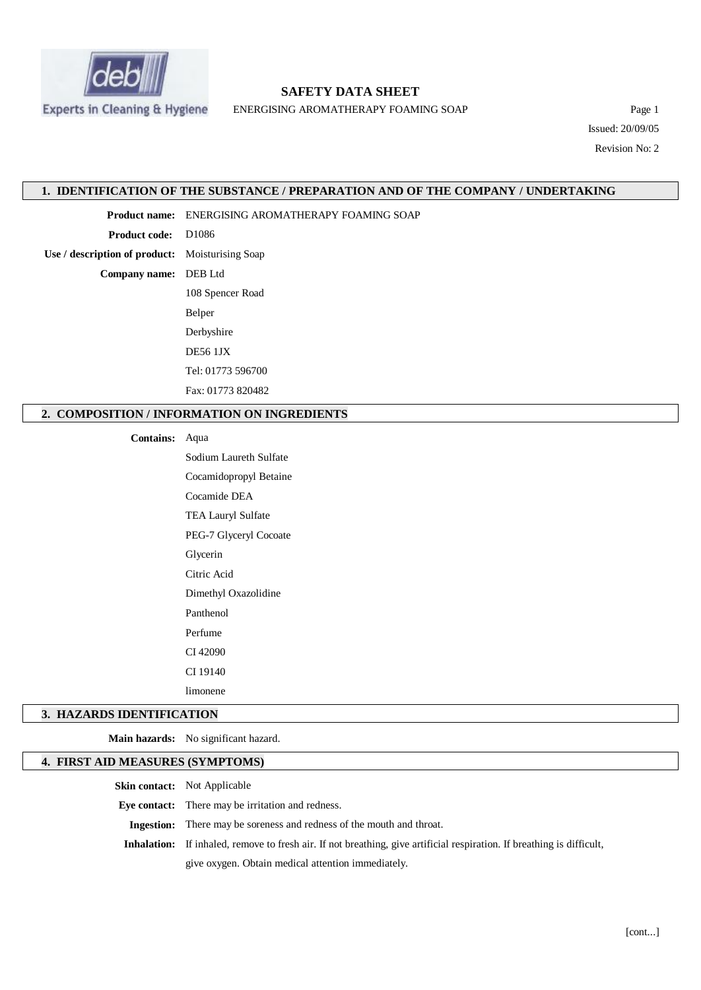

# **SAFETY DATA SHEET**

ENERGISING AROMATHERAPY FOAMING SOAP Page 1

Issued: 20/09/05 Revision No: 2

### **1. IDENTIFICATION OF THE SUBSTANCE / PREPARATION AND OF THE COMPANY / UNDERTAKING**

**Product name:** ENERGISING AROMATHERAPY FOAMING SOAP

**Product code:** D1086

**Use / description of product:** Moisturising Soap

**Company name:** DEB Ltd

108 Spencer Road Belper Derbyshire DE56 1JX Tel: 01773 596700 Fax: 01773 820482

# **2. COMPOSITION / INFORMATION ON INGREDIENTS**

#### **Contains:** Aqua

Sodium Laureth Sulfate Cocamidopropyl Betaine Cocamide DEA TEA Lauryl Sulfate PEG-7 Glyceryl Cocoate Glycerin Citric Acid Dimethyl Oxazolidine Panthenol Perfume CI 42090 CI 19140 limonene

### **3. HAZARDS IDENTIFICATION**

**Main hazards:** No significant hazard.

# **4. FIRST AID MEASURES (SYMPTOMS)**

**Skin contact:** Not Applicable

**Eye contact:** There may be irritation and redness.

**Ingestion:** There may be soreness and redness of the mouth and throat.

**Inhalation:** If inhaled, remove to fresh air. If not breathing, give artificial respiration. If breathing is difficult,

give oxygen. Obtain medical attention immediately.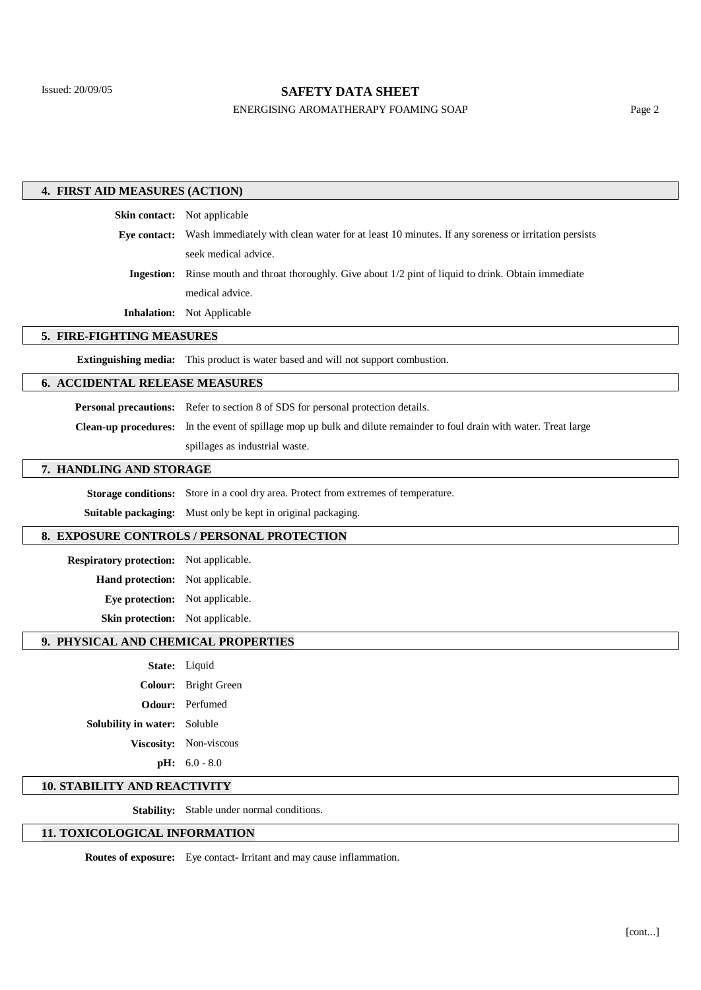# **SAFETY DATA SHEET**

# ENERGISING AROMATHERAPY FOAMING SOAP Page 2

| 4. FIRST AID MEASURES (ACTION)             |                                                                                                                      |  |
|--------------------------------------------|----------------------------------------------------------------------------------------------------------------------|--|
|                                            | Skin contact: Not applicable                                                                                         |  |
|                                            | Eye contact: Wash immediately with clean water for at least 10 minutes. If any soreness or irritation persists       |  |
|                                            | seek medical advice.                                                                                                 |  |
| <b>Ingestion:</b>                          | Rinse mouth and throat thoroughly. Give about 1/2 pint of liquid to drink. Obtain immediate                          |  |
|                                            | medical advice.                                                                                                      |  |
|                                            | <b>Inhalation:</b> Not Applicable                                                                                    |  |
| 5. FIRE-FIGHTING MEASURES                  |                                                                                                                      |  |
|                                            | <b>Extinguishing media:</b> This product is water based and will not support combustion.                             |  |
| <b>6. ACCIDENTAL RELEASE MEASURES</b>      |                                                                                                                      |  |
|                                            | <b>Personal precautions:</b> Refer to section 8 of SDS for personal protection details.                              |  |
|                                            | Clean-up procedures: In the event of spillage mop up bulk and dilute remainder to foul drain with water. Treat large |  |
|                                            | spillages as industrial waste.                                                                                       |  |
| 7. HANDLING AND STORAGE                    |                                                                                                                      |  |
| <b>Storage conditions:</b>                 | Store in a cool dry area. Protect from extremes of temperature.                                                      |  |
|                                            | Suitable packaging: Must only be kept in original packaging.                                                         |  |
| 8. EXPOSURE CONTROLS / PERSONAL PROTECTION |                                                                                                                      |  |
| Respiratory protection: Not applicable.    |                                                                                                                      |  |
| Hand protection: Not applicable.           |                                                                                                                      |  |
| Eye protection: Not applicable.            |                                                                                                                      |  |
| Skin protection: Not applicable.           |                                                                                                                      |  |
| 9. PHYSICAL AND CHEMICAL PROPERTIES        |                                                                                                                      |  |
|                                            | State: Liquid                                                                                                        |  |
|                                            | Colour: Bright Green                                                                                                 |  |
|                                            | <b>Odour:</b> Perfumed                                                                                               |  |
| Solubility in water: Soluble               |                                                                                                                      |  |
|                                            | Viscosity: Non-viscous                                                                                               |  |
|                                            | $pH: 6.0 - 8.0$                                                                                                      |  |
| <b>10. STABILITY AND REACTIVITY</b>        |                                                                                                                      |  |
|                                            |                                                                                                                      |  |

**Stability:** Stable under normal conditions.

# **11. TOXICOLOGICAL INFORMATION**

**Routes of exposure:** Eye contact- Irritant and may cause inflammation.